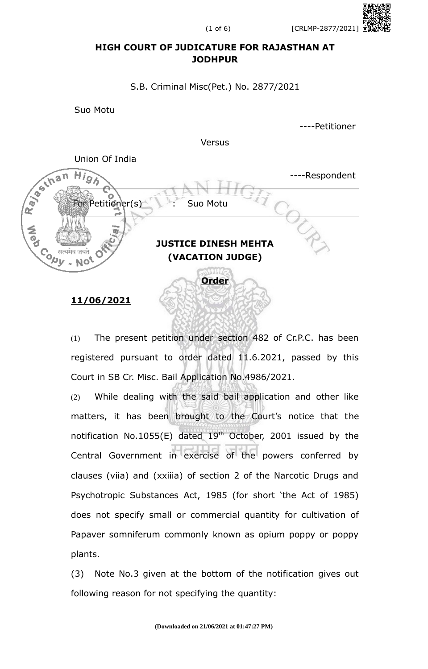----Petitioner

## **HIGH COURT OF JUDICATURE FOR RAJASTHAN AT JODHPUR**

S.B. Criminal Misc(Pet.) No. 2877/2021

Suo Motu



(1) The present petition under section 482 of Cr.P.C. has been registered pursuant to order dated 11.6.2021, passed by this Court in SB Cr. Misc. Bail Application No.4986/2021.

(2) While dealing with the said bail application and other like matters, it has been brought to the Court's notice that the notification No.1055(E) dated  $19<sup>th</sup>$  October, 2001 issued by the Central Government in exercise of the powers conferred by clauses (viia) and (xxiiia) of section 2 of the Narcotic Drugs and Psychotropic Substances Act, 1985 (for short 'the Act of 1985) does not specify small or commercial quantity for cultivation of Papaver somniferum commonly known as opium poppy or poppy plants.

(3) Note No.3 given at the bottom of the notification gives out following reason for not specifying the quantity: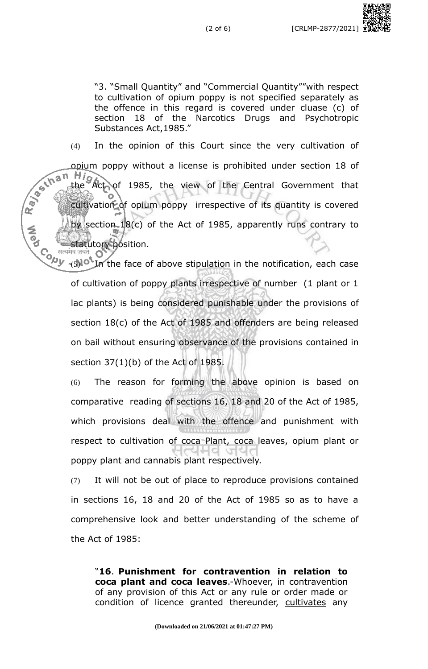"3. "Small Quantity" and "Commercial Quantity""with respect to cultivation of opium poppy is not specified separately as the offence in this regard is covered under cluase (c) of section 18 of the Narcotics Drugs and Psychotropic Substances Act,1985."

(4) In the opinion of this Court since the very cultivation of opium poppy without a license is prohibited under section 18 of<br>the Act of 1985, the view of the Central Government that<br>cultivation of opium poppy irrespective of its of 1985, the view of the Central Government that cultivation of opium poppy irrespective of its quantity is covered by section 18(c) of the Act of 1985, apparently runs contrary to **statutory position. CONTROL** 

(5) of In the face of above stipulation in the notification, each case of cultivation of poppy plants irrespective of number (1 plant or 1 lac plants) is being considered punishable under the provisions of section 18(c) of the Act of 1985 and offenders are being released on bail without ensuring observance of the provisions contained in section 37(1)(b) of the Act of 1985.

(6) The reason for forming the above opinion is based on comparative reading of sections 16, 18 and 20 of the Act of 1985, which provisions deal with the offence and punishment with respect to cultivation of coca Plant, coca leaves, opium plant or poppy plant and cannabis plant respectively.

(7) It will not be out of place to reproduce provisions contained in sections 16, 18 and 20 of the Act of 1985 so as to have a comprehensive look and better understanding of the scheme of the Act of 1985:

"**16**. **Punishment for contravention in relation to coca plant and coca leaves**.-Whoever, in contravention of any provision of this Act or any rule or order made or condition of licence granted thereunder, cultivates any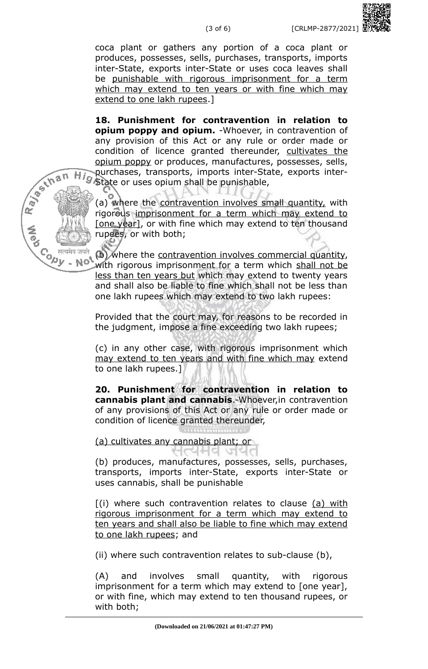coca plant or gathers any portion of a coca plant or produces, possesses, sells, purchases, transports, imports inter-State, exports inter-State or uses coca leaves shall be punishable with rigorous imprisonment for a term which may extend to ten years or with fine which may extend to one lakh rupees.]

**18. Punishment for contravention in relation to opium poppy and opium.** -Whoever, in contravention of any provision of this Act or any rule or order made or condition of licence granted thereunder, cultivates the opium poppy or produces, manufactures, possesses, sells, purchases, transports, imports inter-State, exports inter-High purchases, university in the punishable,

(a) where the contravention involves small quantity, with rigorous imprisonment for a term which may extend to [one year], or with fine which may extend to ten thousand rupees, or with both;

Contra de de la mais de la mais de la mais de la mais de la mais de la mais de la mais de la mais de la mais de la mais de la mais de la mais de la mais de la mais de la mais de la mais de la mais de la mais de la mais de (b) where the contravention involves commercial quantity, with rigorous imprisonment for a term which shall not be less than ten years but which may extend to twenty years and shall also be liable to fine which shall not be less than one lakh rupees which may extend to two lakh rupees:

> Provided that the court may, for reasons to be recorded in the judgment, impose a fine exceeding two lakh rupees;

> (c) in any other case, with rigorous imprisonment which may extend to ten years and with fine which may extend to one lakh rupees.]

> **20. Punishment for contravention in relation to cannabis plant and cannabis**.-Whoever,in contravention of any provisions of this Act or any rule or order made or condition of licence granted thereunder,

(a) cultivates any cannabis plant; or त्यमव जयत

Ray of than

(b) produces, manufactures, possesses, sells, purchases, transports, imports inter-State, exports inter-State or uses cannabis, shall be punishable

 $(i)$  where such contravention relates to clause  $(a)$  with rigorous imprisonment for a term which may extend to ten years and shall also be liable to fine which may extend to one lakh rupees; and

(ii) where such contravention relates to sub-clause (b),

(A) and involves small quantity, with rigorous imprisonment for a term which may extend to [one year], or with fine, which may extend to ten thousand rupees, or with both;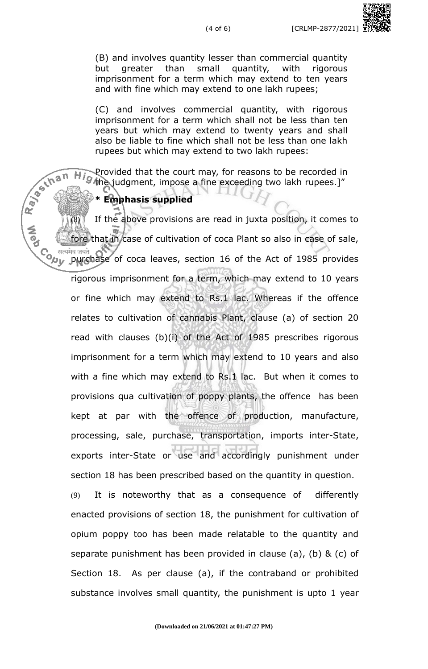(B) and involves quantity lesser than commercial quantity but greater than small quantity, with rigorous imprisonment for a term which may extend to ten years and with fine which may extend to one lakh rupees;

(C) and involves commercial quantity, with rigorous imprisonment for a term which shall not be less than ten years but which may extend to twenty years and shall also be liable to fine which shall not be less than one lakh rupees but which may extend to two lakh rupees:

Provided that the court may, for reasons to be recorded in Hightrovided that the court may, is reason to lakh rupees.]" wined that the court

 $(8)$  If the above provisions are read in juxta position, it comes to fore that in case of cultivation of coca Plant so also in case of sale, **Cody** सत्यमेव जयते purchase of coca leaves, section 16 of the Act of 1985 provides rigorous imprisonment for a term, which may extend to 10 years or fine which may extend to Rs.1 lac. Whereas if the offence relates to cultivation of cannabis Plant, clause (a) of section 20 read with clauses (b)(i) of the Act of 1985 prescribes rigorous imprisonment for a term which may extend to 10 years and also with a fine which may extend to Rs.1 lac. But when it comes to provisions qua cultivation of poppy plants, the offence has been kept at par with the offence of production, manufacture, processing, sale, purchase, transportation, imports inter-State, exports inter-State or use and accordingly punishment under section 18 has been prescribed based on the quantity in question.

(9) It is noteworthy that as a consequence of differently enacted provisions of section 18, the punishment for cultivation of opium poppy too has been made relatable to the quantity and separate punishment has been provided in clause (a), (b) & (c) of Section 18. As per clause (a), if the contraband or prohibited substance involves small quantity, the punishment is upto 1 year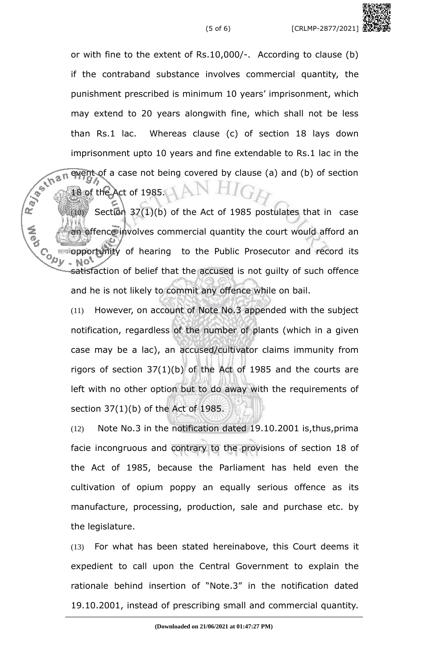or with fine to the extent of Rs.10,000/-. According to clause (b) if the contraband substance involves commercial quantity, the punishment prescribed is minimum 10 years' imprisonment, which may extend to 20 years alongwith fine, which shall not be less than Rs.1 lac. Whereas clause (c) of section 18 lays down imprisonment upto 10 years and fine extendable to Rs.1 lac in the<br>  $\frac{1}{20}$  when  $\frac{1}{20}$  of the Act of 1985. event of a case not being covered by clause (a) and (b) of section 18 of the Act of 1985.

(10) Section 37(1)(b) of the Act of 1985 postulates that in case offence involves commercial quantity the court would afford an **CONTR** सत्यमे**opportunity** of hearing to the Public Prosecutor and record its No, satisfaction of belief that the accused is not guilty of such offence and he is not likely to commit any offence while on bail.

(11) However, on account of Note No.3 appended with the subject notification, regardless of the number of plants (which in a given case may be a lac), an accused/cultivator claims immunity from rigors of section 37(1)(b) of the Act of 1985 and the courts are left with no other option but to do away with the requirements of section 37(1)(b) of the Act of 1985.

(12) Note No.3 in the notification dated 19.10.2001 is,thus,prima facie incongruous and contrary to the provisions of section 18 of the Act of 1985, because the Parliament has held even the cultivation of opium poppy an equally serious offence as its manufacture, processing, production, sale and purchase etc. by the legislature.

(13) For what has been stated hereinabove, this Court deems it expedient to call upon the Central Government to explain the rationale behind insertion of "Note.3" in the notification dated 19.10.2001, instead of prescribing small and commercial quantity.